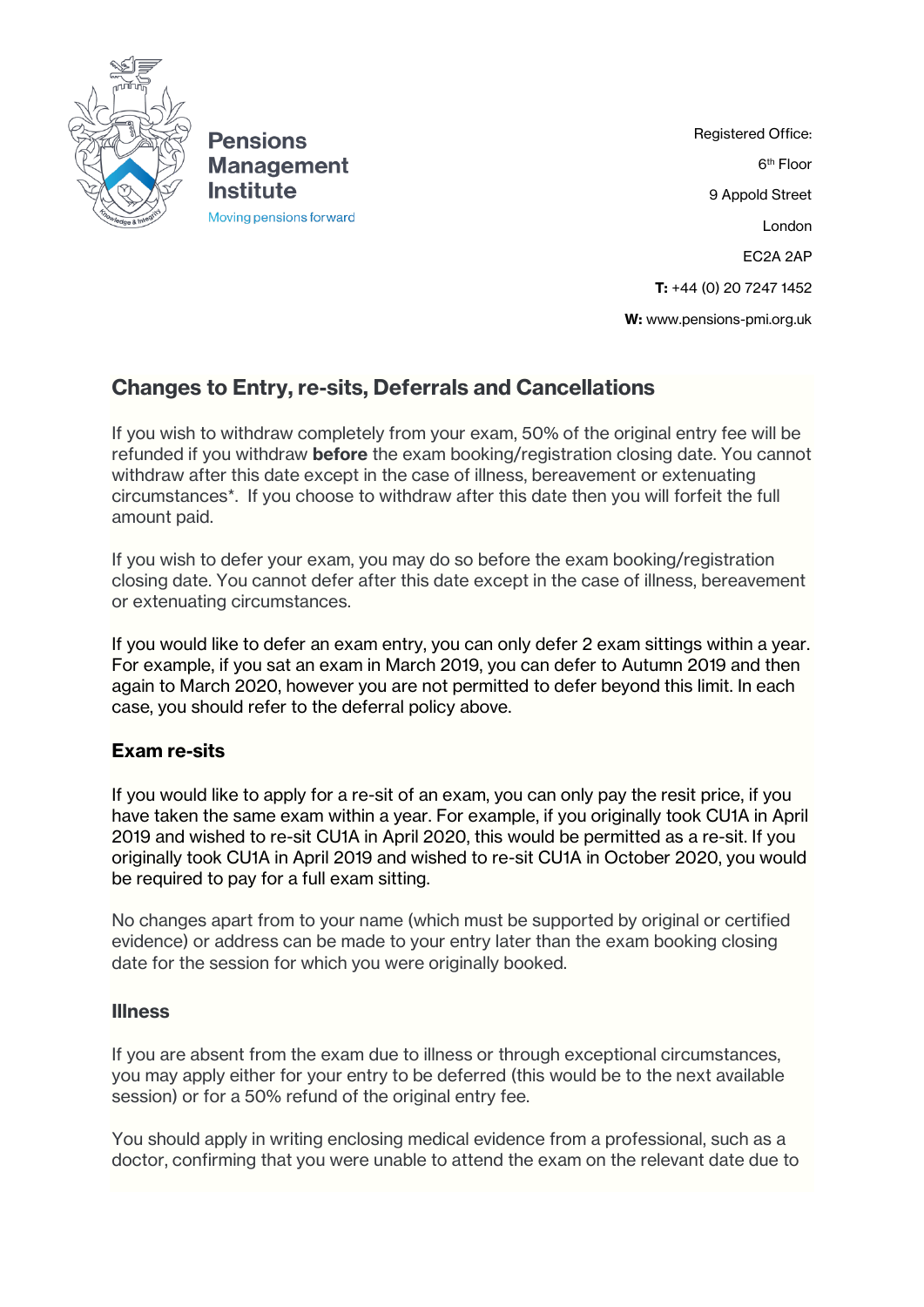

**Pensions Management Institute** Moving pensions forward

Registered Office: 6 th Floor 9 Appold Street London EC2A 2AP **T:** +44 (0) 20 7247 1452 **W:** [www.pensions-pmi.org.uk](http://www.pensions-pmi.org.uk/)

# **Changes to Entry, re-sits, Deferrals and Cancellations**

If you wish to withdraw completely from your exam, 50% of the original entry fee will be refunded if you withdraw **before** the exam booking/registration closing date. You cannot withdraw after this date except in the case of illness, bereavement or extenuating circumstances\*. If you choose to withdraw after this date then you will forfeit the full amount paid.

If you wish to defer your exam, you may do so before the exam booking/registration closing date. You cannot defer after this date except in the case of illness, bereavement or extenuating circumstances.

If you would like to defer an exam entry, you can only defer 2 exam sittings within a year. For example, if you sat an exam in March 2019, you can defer to Autumn 2019 and then again to March 2020, however you are not permitted to defer beyond this limit. In each case, you should refer to the deferral policy above.

## **Exam re-sits**

If you would like to apply for a re-sit of an exam, you can only pay the resit price, if you have taken the same exam within a year. For example, if you originally took CU1A in April 2019 and wished to re-sit CU1A in April 2020, this would be permitted as a re-sit. If you originally took CU1A in April 2019 and wished to re-sit CU1A in October 2020, you would be required to pay for a full exam sitting.

No changes apart from to your name (which must be supported by original or certified evidence) or address can be made to your entry later than the exam booking closing date for the session for which you were originally booked.

### **Illness**

If you are absent from the exam due to illness or through exceptional circumstances, you may apply either for your entry to be deferred (this would be to the next available session) or for a 50% refund of the original entry fee.

You should apply in writing enclosing medical evidence from a professional, such as a doctor, confirming that you were unable to attend the exam on the relevant date due to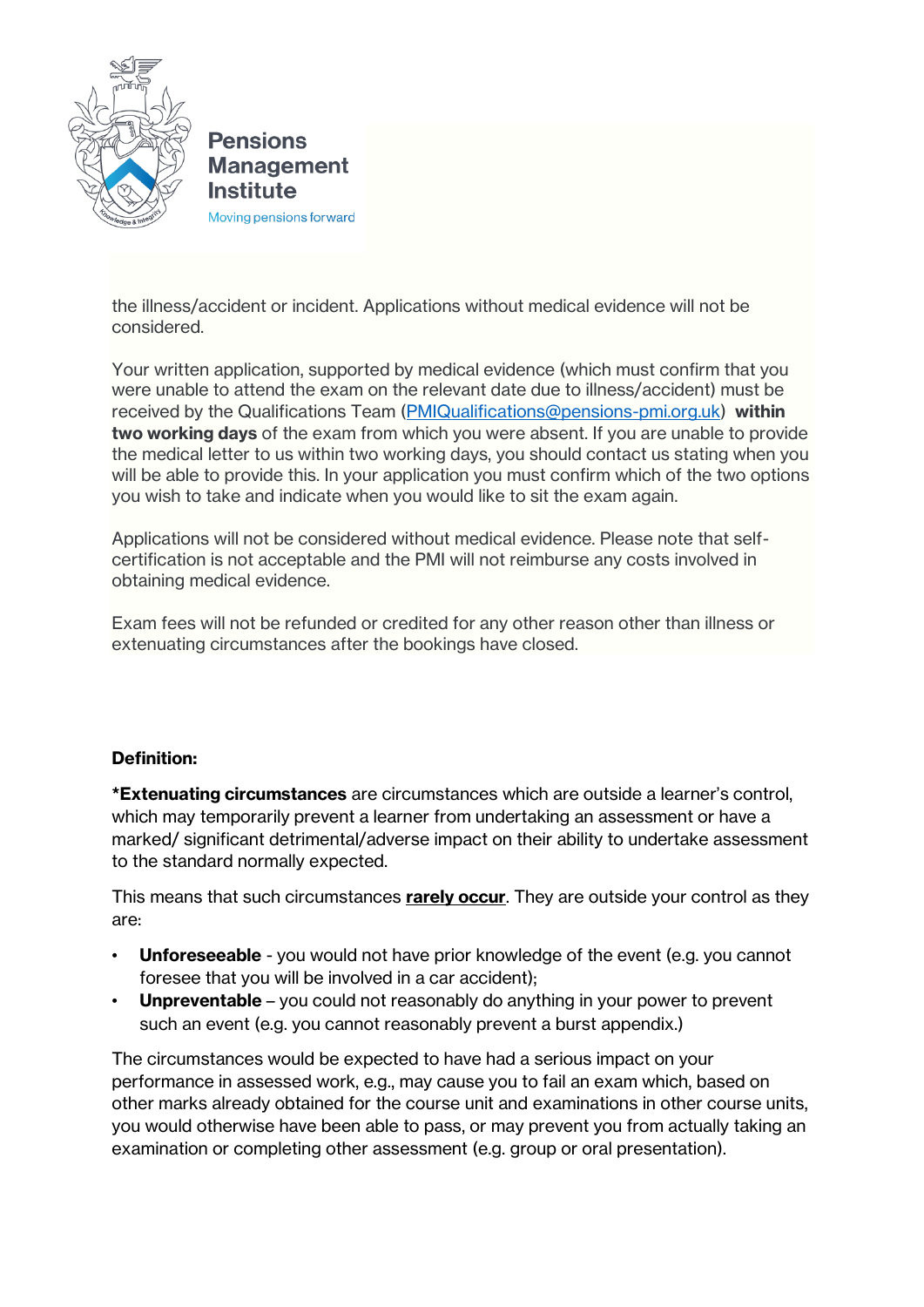

**Pensions Management Institute** 

Moving pensions forward

the illness/accident or incident. Applications without medical evidence will not be considered.

Your written application, supported by medical evidence (which must confirm that you were unable to attend the exam on the relevant date due to illness/accident) must be received by the Qualifications Team [\(PMIQualifications@pensions-pmi.org.uk\)](mailto:PMIQualifications@pensions-pmi.org.uk) **within two working days** of the exam from which you were absent. If you are unable to provide the medical letter to us within two working days, you should contact us stating when you will be able to provide this. In your application you must confirm which of the two options you wish to take and indicate when you would like to sit the exam again.

Applications will not be considered without medical evidence. Please note that selfcertification is not acceptable and the PMI will not reimburse any costs involved in obtaining medical evidence.

Exam fees will not be refunded or credited for any other reason other than illness or extenuating circumstances after the bookings have closed.

### **Definition:**

**\*Extenuating circumstances** are circumstances which are outside a learner's control, which may temporarily prevent a learner from undertaking an assessment or have a marked/ significant detrimental/adverse impact on their ability to undertake assessment to the standard normally expected.

This means that such circumstances **rarely occur**. They are outside your control as they are:

- **Unforeseeable** you would not have prior knowledge of the event (e.g. you cannot foresee that you will be involved in a car accident);
- **Unpreventable** you could not reasonably do anything in your power to prevent such an event (e.g. you cannot reasonably prevent a burst appendix.)

The circumstances would be expected to have had a serious impact on your performance in assessed work, e.g., may cause you to fail an exam which, based on other marks already obtained for the course unit and examinations in other course units, you would otherwise have been able to pass, or may prevent you from actually taking an examination or completing other assessment (e.g. group or oral presentation).